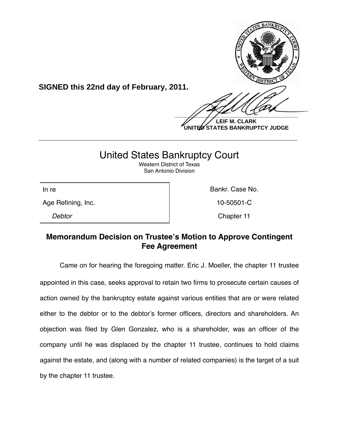

**SIGNED this 22nd day of February, 2011.**

 $\frac{1}{2}$ **LEIF M. CLARK UNITED STATES BANKRUPTCY JUDGE**

# United States Bankruptcy Court

**\_\_\_\_\_\_\_\_\_\_\_\_\_\_\_\_\_\_\_\_\_\_\_\_\_\_\_\_\_\_\_\_\_\_\_\_\_\_\_\_\_\_\_\_\_\_\_\_\_\_\_\_\_\_\_\_\_\_\_\_**

Western District of Texas San Antonio Division

Age Refining, Inc. **10-50501-C** 

In re **Bankr. Case No. In the Bankr. Case No.** 

*Debtor* Chapter 11

## **Memorandum Decision on Trustee's Motion to Approve Contingent Fee Agreement**

Came on for hearing the foregoing matter. Eric J. Moeller, the chapter 11 trustee appointed in this case, seeks approval to retain two firms to prosecute certain causes of action owned by the bankruptcy estate against various entities that are or were related either to the debtor or to the debtor's former officers, directors and shareholders. An objection was filed by Glen Gonzalez, who is a shareholder, was an officer of the company until he was displaced by the chapter 11 trustee, continues to hold claims against the estate, and (along with a number of related companies) is the target of a suit by the chapter 11 trustee.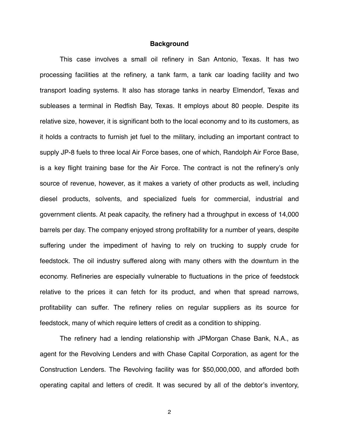#### **Background**

This case involves a small oil refinery in San Antonio, Texas. It has two processing facilities at the refinery, a tank farm, a tank car loading facility and two transport loading systems. It also has storage tanks in nearby Elmendorf, Texas and subleases a terminal in Redfish Bay, Texas. It employs about 80 people. Despite its relative size, however, it is significant both to the local economy and to its customers, as it holds a contracts to furnish jet fuel to the military, including an important contract to supply JP-8 fuels to three local Air Force bases, one of which, Randolph Air Force Base, is a key flight training base for the Air Force. The contract is not the refinery's only source of revenue, however, as it makes a variety of other products as well, including diesel products, solvents, and specialized fuels for commercial, industrial and government clients. At peak capacity, the refinery had a throughput in excess of 14,000 barrels per day. The company enjoyed strong profitability for a number of years, despite suffering under the impediment of having to rely on trucking to supply crude for feedstock. The oil industry suffered along with many others with the downturn in the economy. Refineries are especially vulnerable to fluctuations in the price of feedstock relative to the prices it can fetch for its product, and when that spread narrows, profitability can suffer. The refinery relies on regular suppliers as its source for feedstock, many of which require letters of credit as a condition to shipping.

The refinery had a lending relationship with JPMorgan Chase Bank, N.A., as agent for the Revolving Lenders and with Chase Capital Corporation, as agent for the Construction Lenders. The Revolving facility was for \$50,000,000, and afforded both operating capital and letters of credit. It was secured by all of the debtor's inventory,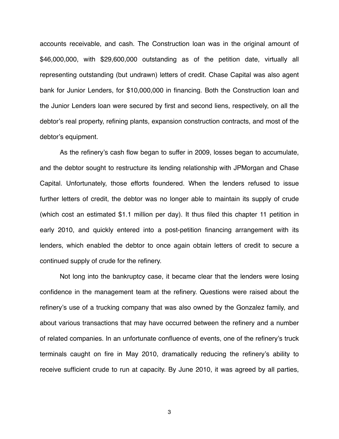accounts receivable, and cash. The Construction loan was in the original amount of \$46,000,000, with \$29,600,000 outstanding as of the petition date, virtually all representing outstanding (but undrawn) letters of credit. Chase Capital was also agent bank for Junior Lenders, for \$10,000,000 in financing. Both the Construction loan and the Junior Lenders loan were secured by first and second liens, respectively, on all the debtor's real property, refining plants, expansion construction contracts, and most of the debtor's equipment.

As the refinery's cash flow began to suffer in 2009, losses began to accumulate, and the debtor sought to restructure its lending relationship with JPMorgan and Chase Capital. Unfortunately, those efforts foundered. When the lenders refused to issue further letters of credit, the debtor was no longer able to maintain its supply of crude (which cost an estimated \$1.1 million per day). It thus filed this chapter 11 petition in early 2010, and quickly entered into a post-petition financing arrangement with its lenders, which enabled the debtor to once again obtain letters of credit to secure a continued supply of crude for the refinery.

Not long into the bankruptcy case, it became clear that the lenders were losing confidence in the management team at the refinery. Questions were raised about the refinery's use of a trucking company that was also owned by the Gonzalez family, and about various transactions that may have occurred between the refinery and a number of related companies. In an unfortunate confluence of events, one of the refinery's truck terminals caught on fire in May 2010, dramatically reducing the refinery's ability to receive sufficient crude to run at capacity. By June 2010, it was agreed by all parties,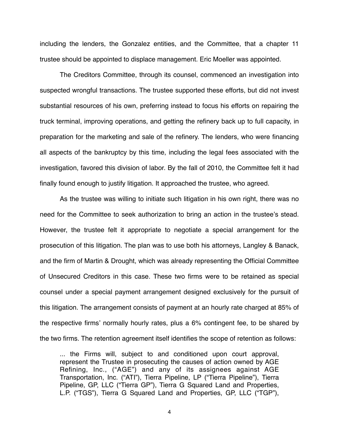including the lenders, the Gonzalez entities, and the Committee, that a chapter 11 trustee should be appointed to displace management. Eric Moeller was appointed.

The Creditors Committee, through its counsel, commenced an investigation into suspected wrongful transactions. The trustee supported these efforts, but did not invest substantial resources of his own, preferring instead to focus his efforts on repairing the truck terminal, improving operations, and getting the refinery back up to full capacity, in preparation for the marketing and sale of the refinery. The lenders, who were financing all aspects of the bankruptcy by this time, including the legal fees associated with the investigation, favored this division of labor. By the fall of 2010, the Committee felt it had finally found enough to justify litigation. It approached the trustee, who agreed.

As the trustee was willing to initiate such litigation in his own right, there was no need for the Committee to seek authorization to bring an action in the trustee's stead. However, the trustee felt it appropriate to negotiate a special arrangement for the prosecution of this litigation. The plan was to use both his attorneys, Langley & Banack, and the firm of Martin & Drought, which was already representing the Official Committee of Unsecured Creditors in this case. These two firms were to be retained as special counsel under a special payment arrangement designed exclusively for the pursuit of this litigation. The arrangement consists of payment at an hourly rate charged at 85% of the respective firms' normally hourly rates, plus a 6% contingent fee, to be shared by the two firms. The retention agreement itself identifies the scope of retention as follows:

... the Firms will, subject to and conditioned upon court approval, represent the Trustee in prosecuting the causes of action owned by AGE Refining, Inc., ("AGE") and any of its assignees against AGE Transportation, Inc. ("ATI"), Tierra Pipeline, LP ("Tierra Pipeline"), Tierra Pipeline, GP, LLC ("Tierra GP"), Tierra G Squared Land and Properties, L.P. ("TGS"), Tierra G Squared Land and Properties, GP, LLC ("TGP"),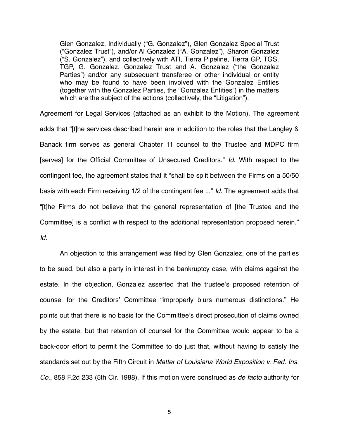Glen Gonzalez, Individually ("G. Gonzalez"), Glen Gonzalez Special Trust ("Gonzalez Trust"), and/or Al Gonzalez ("A. Gonzalez"), Sharon Gonzalez ("S. Gonzalez"), and collectively with ATI, Tierra Pipeline, Tierra GP, TGS, TGP, G. Gonzalez, Gonzalez Trust and A. Gonzalez ("the Gonzalez Parties") and/or any subsequent transferee or other individual or entity who may be found to have been involved with the Gonzalez Entities (together with the Gonzalez Parties, the "Gonzalez Entities") in the matters which are the subject of the actions (collectively, the "Litigation").

Agreement for Legal Services (attached as an exhibit to the Motion). The agreement adds that "[t]he services described herein are in addition to the roles that the Langley & Banack firm serves as general Chapter 11 counsel to the Trustee and MDPC firm [serves] for the Official Committee of Unsecured Creditors." *Id.* With respect to the contingent fee, the agreement states that it "shall be split between the Firms on a 50/50 basis with each Firm receiving 1/2 of the contingent fee ..." *Id.* The agreement adds that "[t]he Firms do not believe that the general representation of [the Trustee and the Committee] is a conflict with respect to the additional representation proposed herein." *Id.*

An objection to this arrangement was filed by Glen Gonzalez, one of the parties to be sued, but also a party in interest in the bankruptcy case, with claims against the estate. In the objection, Gonzalez asserted that the trustee's proposed retention of counsel for the Creditors' Committee "improperly blurs numerous distinctions." He points out that there is no basis for the Committee's direct prosecution of claims owned by the estate, but that retention of counsel for the Committee would appear to be a back-door effort to permit the Committee to do just that, without having to satisfy the standards set out by the Fifth Circuit in *Matter of Louisiana World Exposition v. Fed. Ins. Co.*, 858 F.2d 233 (5th Cir. 1988). If this motion were construed as *de facto* authority for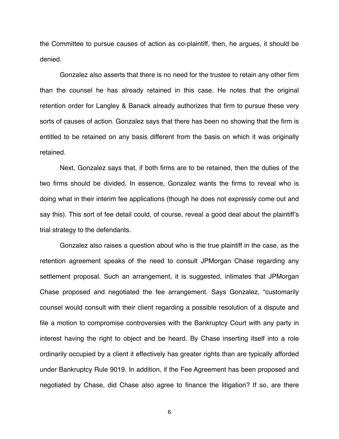the Committee to pursue causes of action as co-plaintiff, then, he argues, it should be denied.

Gonzalez also asserts that there is no need for the trustee to retain any other firm than the counsel he has already retained in this case. He notes that the original retention order for Langley & Banack already authorizes that firm to pursue these very sorts of causes of action. Gonzalez says that there has been no showing that the firm is entitled to be retained on any basis different from the basis on which it was originally retained.

Next, Gonzalez says that, if both firms are to be retained, then the duties of the two firms should be divided. In essence, Gonzalez wants the firms to reveal who is doing what in their interim fee applications (though he does not expressly come out and say this). This sort of fee detail could, of course, reveal a good deal about the plaintiff's trial strategy to the defendants.

Gonzalez also raises a question about who is the true plaintiff in the case, as the retention agreement speaks of the need to consult JPMorgan Chase regarding any settlement proposal. Such an arrangement, it is suggested, intimates that JPMorgan Chase proposed and negotiated the fee arrangement. Says Gonzalez, "customarily counsel would consult with their client regarding a possible resolution of a dispute and file a motion to compromise controversies with the Bankruptcy Court with any party in interest having the right to object and be heard. By Chase inserting itself into a role ordinarily occupied by a client it effectively has greater rights than are typically afforded under Bankruptcy Rule 9019. In addition, if the Fee Agreement has been proposed and negotiated by Chase, did Chase also agree to finance the litigation? If so, are there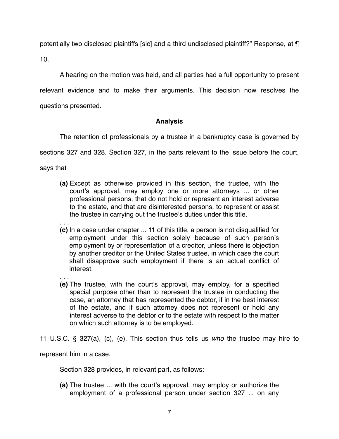potentially two disclosed plaintiffs [sic] and a third undisclosed plaintiff?" Response, at ¶ 10.

A hearing on the motion was held, and all parties had a full opportunity to present relevant evidence and to make their arguments. This decision now resolves the questions presented.

### **Analysis**

The retention of professionals by a trustee in a bankruptcy case is governed by

sections 327 and 328. Section 327, in the parts relevant to the issue before the court,

says that

- **(a)** Except as otherwise provided in this section, the trustee, with the court's approval, may employ one or more attorneys ... or other professional persons, that do not hold or represent an interest adverse to the estate, and that are disinterested persons, to represent or assist the trustee in carrying out the trustee's duties under this title.
- . . . **(c)** In a case under chapter ... 11 of this title, a person is not disqualified for employment under this section solely because of such person's employment by or representation of a creditor, unless there is objection by another creditor or the United States trustee, in which case the court shall disapprove such employment if there is an actual conflict of interest.
- . . . **(e)** The trustee, with the court's approval, may employ, for a specified special purpose other than to represent the trustee in conducting the case, an attorney that has represented the debtor, if in the best interest of the estate, and if such attorney does not represent or hold any interest adverse to the debtor or to the estate with respect to the matter on which such attorney is to be employed.

11 U.S.C. § 327(a), (c), (e). This section thus tells us *who* the trustee may hire to

represent him in a case.

Section 328 provides, in relevant part, as follows:

**(a)** The trustee ... with the court's approval, may employ or authorize the employment of a professional person under section 327 ... on any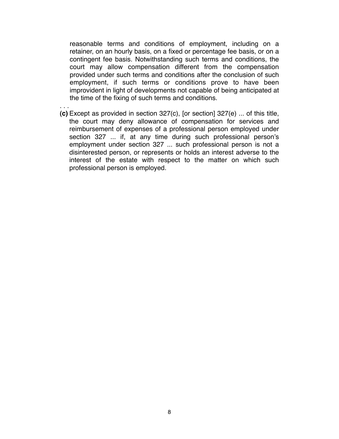reasonable terms and conditions of employment, including on a retainer, on an hourly basis, on a fixed or percentage fee basis, or on a contingent fee basis. Notwithstanding such terms and conditions, the court may allow compensation different from the compensation provided under such terms and conditions after the conclusion of such employment, if such terms or conditions prove to have been improvident in light of developments not capable of being anticipated at the time of the fixing of such terms and conditions.

. . . **(c)** Except as provided in section 327(c), [or section] 327(e) ... of this title, the court may deny allowance of compensation for services and reimbursement of expenses of a professional person employed under section 327 ... if, at any time during such professional person's employment under section 327 ... such professional person is not a disinterested person, or represents or holds an interest adverse to the interest of the estate with respect to the matter on which such professional person is employed.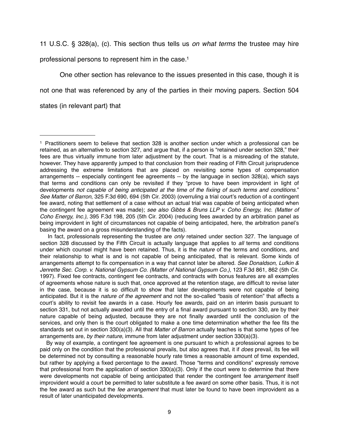11 U.S.C. § 328(a), (c). This section thus tells us *on what terms* the trustee may hire

professional persons to represent him in the case[.1](#page-8-0)

One other section has relevance to the issues presented in this case, though it is not one that was referenced by any of the parties in their moving papers. Section 504 states (in relevant part) that

<span id="page-8-0"></span><sup>1</sup> Practitioners seem to believe that section 328 is another section under which a professional can be retained, as an alternative to section 327, and argue that, if a person is "retained under section 328," their fees are thus virtually immune from later adjustment by the court. That is a misreading of the statute, however. They have apparently jumped to that conclusion from their reading of Fifth Circuit jurisprudence addressing the extreme limitations that are placed on revisiting some types of compensation arrangements -- especially contingent fee agreements -- by the language in section 328(a), which says that terms and conditions can only be revisited if they "prove to have been improvident in light of developments *not capable of being anticipated at the time of the fixiing of such terms and conditions.*" *See Matter of Barron*, 325 F.3d 690, 694 (5th Cir. 2003) (overruling a trial court's reduction of a contingent fee award, noting that settlement of a case without an actual trial was capable of being anticipated when the contingent fee agreement was made); *see also Gibbs & Bruns LLP v. Coho Energy, Inc. (Matter of Coho Energy, Inc.)*, 395 F.3d 198, 205 (5th Cir. 2004) (reducing fees awarded by an arbitration panel as being improvident in light of circumstances not capable of being anticipated, here, the arbitration panel's basing the award on a gross misunderstanding of the facts).

In fact, professionals representing the trustee are *only* retained under section 327. The language of section 328 discussed by the Fifth Circuit is actually language that applies to *all* terms and conditions under which counsel might have been retained. Thus, it is the *nature* of the terms and conditions, and their relationship to what is and is not capable of being anticipated, that is relevant. Some kinds of arrangements attempt to fix compensation in a way that cannot later be altered. *See Donaldson, Lufkin & Jenrette Sec. Corp. v. National Gypsum Co. (Matter of National Gypsum Co.)*, 123 F.3d 861, 862 (5th Cir. 1997). Fixed fee contracts, contingent fee contracts, and contracts with bonus features are all examples of agreements whose nature is such that, once approved at the retention stage, are difficult to revise later in the case, because it is so difficult to show that later developments were not capable of being anticipated. But it is the *nature of the agreement* and not the so-called "basis of retention" that affects a court's ability to revisit fee awards in a case. Hourly fee awards, paid on an interim basis pursuant to section 331, but not actually awarded until the entry of a final award pursuant to section 330, are by their nature capable of being adjusted, because they are not finally awarded until the conclusion of the services, and only then is the court obligated to make a one time determination whether the fee fits the standards set out in section 330(a)(3). All that *Matter of Barron* actually teaches is that some types of fee arrangements are, *by their nature*, immune from later adjustment under section 330(a)(3).

By way of example, a contingent fee agreement is one pursuant to which a professional agrees to be paid only on the condition that the professional prevails, but also agrees that, it if *does* prevail, its fee will be determined not by consulting a reasonable hourly rate times a reasonable amount of time expended, but rather by applying a fixed percentage to the award. Those "terms and conditions" expressly remove that professional from the application of section 330(a)(3). Only if the court were to determine that there were developments not capable of being anticipated that render the contingent fee *arrangement* itself improvident would a court be permitted to later substitute a fee award on some other basis. Thus, it is not the fee award as such but the *fee arrangement* that must later be found to have been improvident as a result of later unanticipated developments.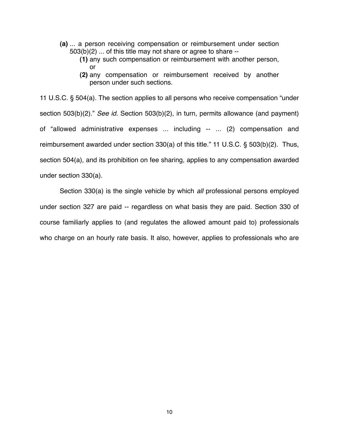- **(a)** ... a person receiving compensation or reimbursement under section 503(b)(2) ... of this title may not share or agree to share --
	- **(1)** any such compensation or reimbursement with another person, or
	- **(2)** any compensation or reimbursement received by another person under such sections.

11 U.S.C. § 504(a). The section applies to all persons who receive compensation "under section 503(b)(2)." *See id.* Section 503(b)(2), in turn, permits allowance (and payment) of "allowed administrative expenses ... including -- ... (2) compensation and reimbursement awarded under section 330(a) of this title." 11 U.S.C. § 503(b)(2). Thus, section 504(a), and its prohibition on fee sharing, applies to any compensation awarded under section 330(a).

Section 330(a) is the single vehicle by which *all* professional persons employed under section 327 are paid -- regardless on what basis they are paid. Section 330 of course familiarly applies to (and regulates the allowed amount paid to) professionals who charge on an hourly rate basis. It also, however, applies to professionals who are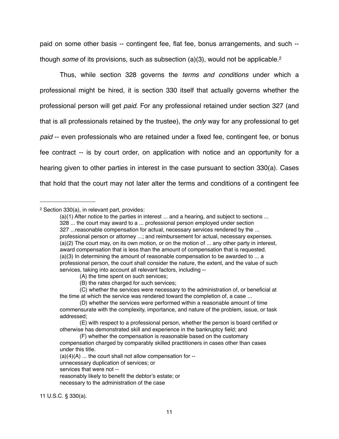paid on some other basis -- contingent fee, flat fee, bonus arrangements, and such - though *some* of its provisions, such as subsection (a)(3), would not be applicable[.2](#page-10-0)

Thus, while section 328 governs the *terms and conditions* under which a professional might be hired, it is section 330 itself that actually governs whether the professional person will get *paid*. For any professional retained under section 327 (and that is all professionals retained by the trustee), the *only* way for any professional to get *paid* -- even professionals who are retained under a fixed fee, contingent fee, or bonus fee contract -- is by court order, on application with notice and an opportunity for a hearing given to other parties in interest in the case pursuant to section 330(a). Cases that hold that the court may not later alter the terms and conditions of a contingent fee

unnecessary duplication of services; or

11 U.S.C. § 330(a).

<span id="page-10-0"></span><sup>2</sup> Section 330(a), in relevant part, provides:

<sup>(</sup>a)(1) After notice to the parties in interest ... and a hearing, and subject to sections ... 328 ... the court may award to a ... professional person employed under section 327 ...reasonable compensation for actual, necessary services rendered by the ... professional person or attorney ...; and reimbursement for actual, necessary expenses. (a)(2) The court may, on its own motion, or on the motion of ... any other party in interest, award compensation that is less than the amount of compensation that is requested. (a)(3) In determining the amount of reasonable compensation to be awarded to ... a professional person, the court shall consider the nature, the extent, and the value of such services, taking into account all relevant factors, including --

<sup>(</sup>A) the time spent on such services;

<sup>(</sup>B) the rates charged for such services;

<sup>(</sup>C) whether the services were necessary to the administration of, or beneficial at the time at which the service was rendered toward the completion of, a case ...

<sup>(</sup>D) whether the services were performed within a reasonable amount of time commensurate with the complexity, importance, and nature of the problem, issue, or task addressed;

<sup>(</sup>E) with respect to a professional person, whether the person is board certified or otherwise has demonstrated skill and experience in the bankruptcy field; and

<sup>(</sup>F) whether the compensation is reasonable based on the customary compensation charged by comparably skilled practitioners in cases other than cases under this title.

 $(a)(4)(A)$  ... the court shall not allow compensation for  $-$ 

services that were not --

reasonably likely to benefit the debtor's estate; or

necessary to the administration of the case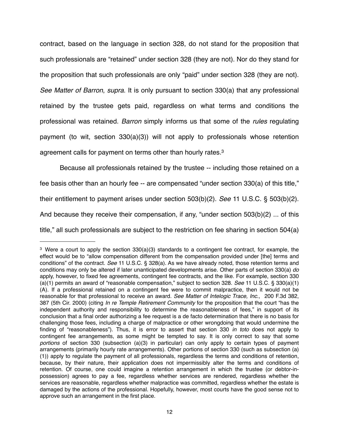contract, based on the language in section 328, do not stand for the proposition that such professionals are "retained" under section 328 (they are not). Nor do they stand for the proposition that such professionals are only "paid" under section 328 (they are not). *See Matter of Barron*, *supra*. It is only pursuant to section 330(a) that any professional retained by the trustee gets paid, regardless on what terms and conditions the professional was retained. *Barron* simply informs us that some of the *rules* regulating payment (to wit, section 330(a)(3)) will not apply to professionals whose retention agreement calls for payment on terms other than hourly rates[.3](#page-11-0) 

Because all professionals retained by the trustee -- including those retained on a fee basis other than an hourly fee -- are compensated "under section 330(a) of this title," their entitlement to payment arises under section 503(b)(2). *See* 11 U.S.C. § 503(b)(2). And because they receive their compensation, if any, "under section 503(b)(2) ... of this title," all such professionals are subject to the restriction on fee sharing in section 504(a)

<span id="page-11-0"></span><sup>&</sup>lt;sup>3</sup> Were a court to apply the section 330(a)(3) standards to a contingent fee contract, for example, the effect would be to "allow compensation different from the compensation provided under [the] terms and conditions" of the contract. *See* 11 U.S.C. § 328(a). As we have already noted, those retention terms and conditions may only be altered if later unanticipated developments arise. Other parts of section 330(a) *do* apply, however, to fixed fee agreements, contingent fee contracts, and the like. For example, section 330 (a)(1) permits an award of "reasonable compensation," subject to section 328. *See* 11 U.S.C. § 330(a)(1) (A). If a professional retained on a contingent fee were to commit malpractice, then it would not be reasonable for that professional to receive an award. *See Matter of Intelogic Trace, Inc*., 200 F.3d 382, 387 (5th Cir. 2000) (citing *In re Temple Retirement Community* for the proposition that the court "has the independent authority and responsibility to determine the reasonableness of fees," in support of its conclusion that a final order authorizing a fee request is a de facto determination that there is no basis for challenging those fees, including a charge of malpractice or other wrongdoing that would undermine the finding of "reasonableness"). Thus, it is error to assert that section 330 *in toto* does not apply to contingent fee arrangements, as some might be tempted to say. It is only correct to say that some *portions* of section 330 (subsection (a)(3) in particular) can only apply to certain types of payment arrangements (primarily hourly rate arrangements). Other portions of section 330 (such as subsection (a) (1)) apply to regulate the payment of all professionals, regardless the terms and conditions of retention, because, by their nature, their application does not impermissibly alter the terms and conditions of retention. Of course, one could imagine a retention arrangement in which the trustee (or debtor-inpossession) agrees to pay a fee, regardless whether services are rendered, regardless whether the services are reasonable, regardless whether malpractice was committed, regardless whether the estate is damaged by the actions of the professional. Hopefully, however, most courts have the good sense not to approve such an arrangement in the first place.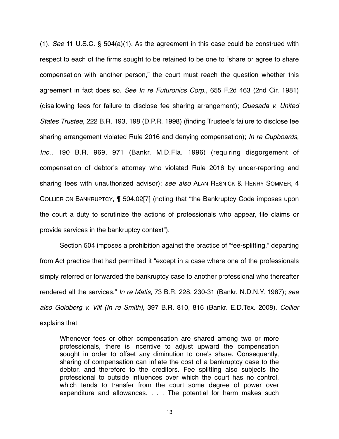(1). *See* 11 U.S.C. § 504(a)(1). As the agreement in this case could be construed with respect to each of the firms sought to be retained to be one to "share or agree to share compensation with another person," the court must reach the question whether this agreement in fact does so. *See In re Futuronics Corp*., 655 F.2d 463 (2nd Cir. 1981) (disallowing fees for failure to disclose fee sharing arrangement); *Quesada v. United States Trustee*, 222 B.R. 193, 198 (D.P.R. 1998) (finding Trustee's failure to disclose fee sharing arrangement violated Rule 2016 and denying compensation); *In re Cupboards, Inc.*, 190 B.R. 969, 971 (Bankr. M.D.Fla. 1996) (requiring disgorgement of compensation of debtor's attorney who violated Rule 2016 by under-reporting and sharing fees with unauthorized advisor); *see also* ALAN RESNICK & HENRY SOMMER, 4 COLLIER ON BANKRUPTCY, ¶ 504.02[7] (noting that "the Bankruptcy Code imposes upon the court a duty to scrutinize the actions of professionals who appear, file claims or provide services in the bankruptcy context").

Section 504 imposes a prohibition against the practice of "fee-splitting," departing from Act practice that had permitted it "except in a case where one of the professionals simply referred or forwarded the bankruptcy case to another professional who thereafter rendered all the services." *In re Matis*, 73 B.R. 228, 230-31 (Bankr. N.D.N.Y. 1987); *see also Goldberg v. Vilt (In re Smith)*, 397 B.R. 810, 816 (Bankr. E.D.Tex. 2008). *Collier*  explains that

Whenever fees or other compensation are shared among two or more professionals, there is incentive to adjust upward the compensation sought in order to offset any diminution to one's share. Consequently, sharing of compensation can inflate the cost of a bankruptcy case to the debtor, and therefore to the creditors. Fee splitting also subjects the professional to outside influences over which the court has no control, which tends to transfer from the court some degree of power over expenditure and allowances. . . . The potential for harm makes such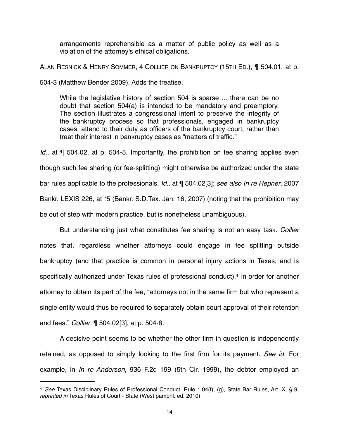arrangements reprehensible as a matter of public policy as well as a violation of the attorney's ethical obligations.

ALAN RESNICK & HENRY SOMMER, 4 COLLIER ON BANKRUPTCY (15TH ED.), ¶ 504.01, at p.

504-3 (Matthew Bender 2009). Adds the treatise,

While the legislative history of section 504 is sparse ... there can be no doubt that section 504(a) is intended to be mandatory and preemptory. The section illustrates a congressional intent to preserve the integrity of the bankruptcy process so that professionals, engaged in bankruptcy cases, attend to their duty as officers of the bankruptcy court, rather than treat their interest in bankruptcy cases as "matters of traffic."

*Id.*, at ¶ 504.02, at p. 504-5. Importantly, the prohibition on fee sharing applies even though such fee sharing (or fee-splitting) might otherwise be authorized under the state bar rules applicable to the professionals. *Id.*, at ¶ 504.02[3]; *see also In re Hepner*, 2007 Bankr. LEXIS 226, at \*5 (Bankr. S.D.Tex. Jan. 16, 2007) (noting that the prohibition may be out of step with modern practice, but is nonetheless unambiguous).

But understanding just what constitutes fee sharing is not an easy task. *Collier*  notes that, regardless whether attorneys could engage in fee splitting outside bankruptcy (and that practice is common in personal injury actions in Texas, and is specifically authorized under Texas rules of professional conduct)[,4](#page-13-0) in order for another attorney to obtain its part of the fee, "attorneys not in the same firm but who represent a single entity would thus be required to separately obtain court approval of their retention and fees." *Collier*, ¶ 504.02[3], at p. 504-8.

A decisive point seems to be whether the other firm in question is independently retained, as opposed to simply looking to the first firm for its payment. *See id.* For example, in *In re Anderson*, 936 F.2d 199 (5th Cir. 1999), the debtor employed an

<span id="page-13-0"></span><sup>4</sup> *See* Texas Disciplinary Rules of Professional Conduct, Rule 1.04(f), (g), State Bar Rules, Art. X, § 9, *reprinted in* Texas Rules of Court - State (West pamphl. ed. 2010).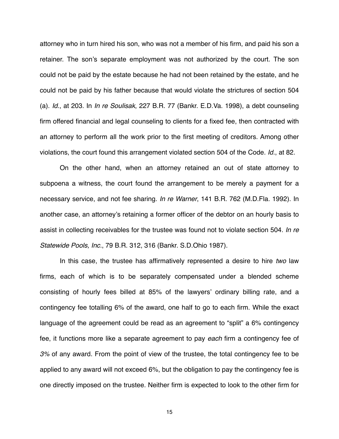attorney who in turn hired his son, who was not a member of his firm, and paid his son a retainer. The son's separate employment was not authorized by the court. The son could not be paid by the estate because he had not been retained by the estate, and he could not be paid by his father because that would violate the strictures of section 504 (a). *Id.*, at 203. In *In re Soulisak*, 227 B.R. 77 (Bankr. E.D.Va. 1998), a debt counseling firm offered financial and legal counseling to clients for a fixed fee, then contracted with an attorney to perform all the work prior to the first meeting of creditors. Among other violations, the court found this arrangement violated section 504 of the Code. *Id.*, at 82.

On the other hand, when an attorney retained an out of state attorney to subpoena a witness, the court found the arrangement to be merely a payment for a necessary service, and not fee sharing. *In re Warner*, 141 B.R. 762 (M.D.Fla. 1992). In another case, an attorney's retaining a former officer of the debtor on an hourly basis to assist in collecting receivables for the trustee was found not to violate section 504. *In re Statewide Pools, Inc.*, 79 B.R. 312, 316 (Bankr. S.D.Ohio 1987).

In this case, the trustee has affirmatively represented a desire to hire *two* law firms, each of which is to be separately compensated under a blended scheme consisting of hourly fees billed at 85% of the lawyers' ordinary billing rate, and a contingency fee totalling 6% of the award, one half to go to each firm. While the exact language of the agreement could be read as an agreement to "split" a 6% contingency fee, it functions more like a separate agreement to pay *each* firm a contingency fee of *3%* of any award. From the point of view of the trustee, the total contingency fee to be applied to any award will not exceed 6%, but the obligation to pay the contingency fee is one directly imposed on the trustee. Neither firm is expected to look to the other firm for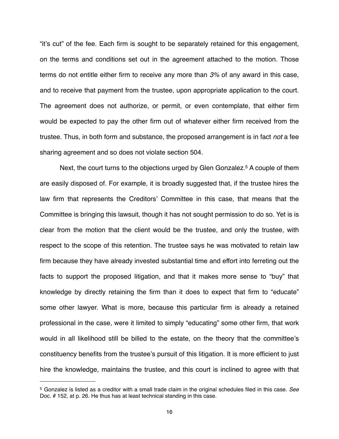"it's cut" of the fee. Each firm is sought to be separately retained for this engagement, on the terms and conditions set out in the agreement attached to the motion. Those terms do not entitle either firm to receive any more than *3%* of any award in this case, and to receive that payment from the trustee, upon appropriate application to the court. The agreement does not authorize, or permit, or even contemplate, that either firm would be expected to pay the other firm out of whatever either firm received from the trustee. Thus, in both form and substance, the proposed arrangement is in fact *not* a fee sharing agreement and so does not violate section 504.

Next, the court turns to the objections urged by Glen Gonzalez.<sup>5</sup> A couple of them are easily disposed of. For example, it is broadly suggested that, if the trustee hires the law firm that represents the Creditors' Committee in this case, that means that the Committee is bringing this lawsuit, though it has not sought permission to do so. Yet is is clear from the motion that the client would be the trustee, and only the trustee, with respect to the scope of this retention. The trustee says he was motivated to retain law firm because they have already invested substantial time and effort into ferreting out the facts to support the proposed litigation, and that it makes more sense to "buy" that knowledge by directly retaining the firm than it does to expect that firm to "educate" some other lawyer. What is more, because this particular firm is already a retained professional in the case, were it limited to simply "educating" some other firm, that work would in all likelihood still be billed to the estate, on the theory that the committee's constituency benefits from the trustee's pursuit of this litigation. It is more efficient to just hire the knowledge, maintains the trustee, and this court is inclined to agree with that

<span id="page-15-0"></span><sup>5</sup> Gonzalez is listed as a creditor with a small trade claim in the original schedules filed in this case. *See*  Doc. # 152, at p. 26. He thus has at least technical standing in this case.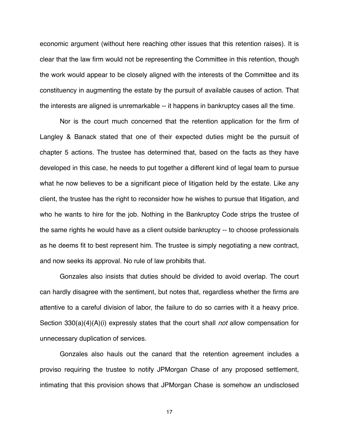economic argument (without here reaching other issues that this retention raises). It is clear that the law firm would not be representing the Committee in this retention, though the work would appear to be closely aligned with the interests of the Committee and its constituency in augmenting the estate by the pursuit of available causes of action. That the interests are aligned is unremarkable -- it happens in bankruptcy cases all the time.

Nor is the court much concerned that the retention application for the firm of Langley & Banack stated that one of their expected duties might be the pursuit of chapter 5 actions. The trustee has determined that, based on the facts as they have developed in this case, he needs to put together a different kind of legal team to pursue what he now believes to be a significant piece of litigation held by the estate. Like any client, the trustee has the right to reconsider how he wishes to pursue that litigation, and who he wants to hire for the job. Nothing in the Bankruptcy Code strips the trustee of the same rights he would have as a client outside bankruptcy -- to choose professionals as he deems fit to best represent him. The trustee is simply negotiating a new contract, and now seeks its approval. No rule of law prohibits that.

Gonzales also insists that duties should be divided to avoid overlap. The court can hardly disagree with the sentiment, but notes that, regardless whether the firms are attentive to a careful division of labor, the failure to do so carries with it a heavy price. Section 330(a)(4)(A)(i) expressly states that the court shall *not* allow compensation for unnecessary duplication of services.

Gonzales also hauls out the canard that the retention agreement includes a proviso requiring the trustee to notify JPMorgan Chase of any proposed settlement, intimating that this provision shows that JPMorgan Chase is somehow an undisclosed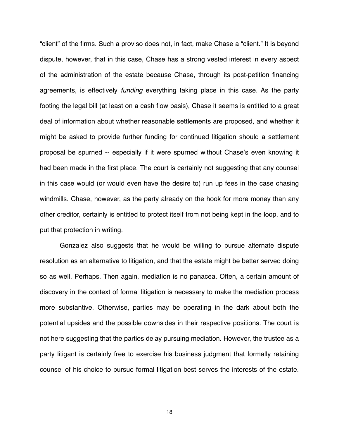"client" of the firms. Such a proviso does not, in fact, make Chase a "client." It is beyond dispute, however, that in this case, Chase has a strong vested interest in every aspect of the administration of the estate because Chase, through its post-petition financing agreements, is effectively *funding* everything taking place in this case. As the party footing the legal bill (at least on a cash flow basis), Chase it seems is entitled to a great deal of information about whether reasonable settlements are proposed, and whether it might be asked to provide further funding for continued litigation should a settlement proposal be spurned -- especially if it were spurned without Chase's even knowing it had been made in the first place. The court is certainly not suggesting that any counsel in this case would (or would even have the desire to) run up fees in the case chasing windmills. Chase, however, as the party already on the hook for more money than any other creditor, certainly is entitled to protect itself from not being kept in the loop, and to put that protection in writing.

Gonzalez also suggests that he would be willing to pursue alternate dispute resolution as an alternative to litigation, and that the estate might be better served doing so as well. Perhaps. Then again, mediation is no panacea. Often, a certain amount of discovery in the context of formal litigation is necessary to make the mediation process more substantive. Otherwise, parties may be operating in the dark about both the potential upsides and the possible downsides in their respective positions. The court is not here suggesting that the parties delay pursuing mediation. However, the trustee as a party litigant is certainly free to exercise his business judgment that formally retaining counsel of his choice to pursue formal litigation best serves the interests of the estate.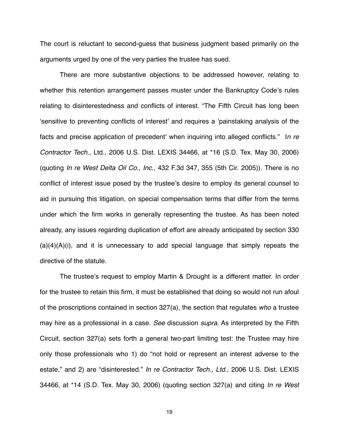The court is reluctant to second-guess that business judgment based primarily on the arguments urged by one of the very parties the trustee has sued.

There are more substantive objections to be addressed however, relating to whether this retention arrangement passes muster under the Bankruptcy Code's rules relating to disinterestedness and conflicts of interest. "The Fifth Circuit has long been ʻsensitive to preventing conflicts of interest' and requires a ʻpainstaking analysis of the facts and precise application of precedent' when inquiring into alleged conflicts." I*n re Contractor Tech*., Ltd., 2006 U.S. Dist. LEXIS 34466, at \*16 (S.D. Tex. May 30, 2006) (quoting *In re West Delta Oil Co., Inc*., 432 F.3d 347, 355 (5th Cir. 2005)). There is no conflict of interest issue posed by the trustee's desire to employ its general counsel to aid in pursuing this litigation, on special compensation terms that differ from the terms under which the firm works in generally representing the trustee. As has been noted already, any issues regarding duplication of effort are already anticipated by section 330  $(a)(4)(A)(i)$ , and it is unnecessary to add special language that simply repeats the directive of the statute.

The trustee's request to employ Martin & Drought is a different matter. In order for the trustee to retain this firm, it must be established that doing so would not run afoul of the proscriptions contained in section 327(a), the section that regulates *who* a trustee may hire as a professional in a case. *See* discussion *supra.* As interpreted by the Fifth Circuit, section 327(a) sets forth a general two-part limiting test: the Trustee may hire only those professionals who 1) do "not hold or represent an interest adverse to the estate," and 2) are "disinterested." *In re Contractor Tech., Ltd*., 2006 U.S. Dist. LEXIS 34466, at \*14 (S.D. Tex. May 30, 2006) (quoting section 327(a) and citing *In re West*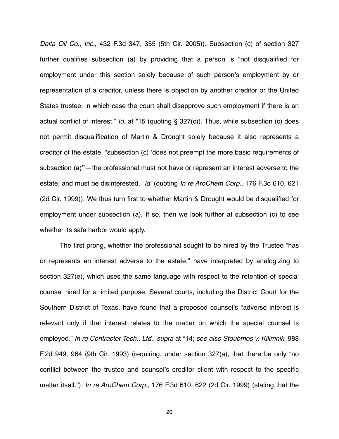*Delta Oil Co., Inc*., 432 F.3d 347, 355 (5th Cir. 2005)). Subsection (c) of section 327 further qualifies subsection (a) by providing that a person is "not disqualified for employment under this section solely because of such person's employment by or representation of a creditor, unless there is objection by another creditor or the United States trustee, in which case the court shall disapprove such employment if there is an actual conflict of interest." *Id*. at \*15 (quoting § 327(c)). Thus, while subsection (c) does not permit disqualification of Martin & Drought solely because it also represents a creditor of the estate, "subsection (c) ʻdoes not preempt the more basic requirements of subsection (a)'"—the professional must not have or represent an interest adverse to the estate, and must be disinterested. *Id*. (quoting *In re AroChem Corp*., 176 F.3d 610, 621 (2d Cir. 1999)). We thus turn first to whether Martin & Drought would be disqualified for employment under subsection (a). If so, then we look further at subsection (c) to see whether its safe harbor would apply.

The first prong, whether the professional sought to be hired by the Trustee "has or represents an interest adverse to the estate," have interpreted by analogizing to section 327(e), which uses the same language with respect to the retention of special counsel hired for a limited purpose. Several courts, including the District Court for the Southern District of Texas, have found that a proposed counsel's "adverse interest is relevant only if that interest relates to the matter on which the special counsel is employed." *In re Contractor Tech., Ltd.*, *supra* at \*14; *see also Stoubmos v. Kilimnik*, 988 F.2d 949, 964 (9th Cir. 1993) (requiring, under section 327(a), that there be only "no conflict between the trustee and counsel's creditor client with respect to the specific matter itself."); *In re AroChem Corp*., 176 F.3d 610, 622 (2d Cir. 1999) (stating that the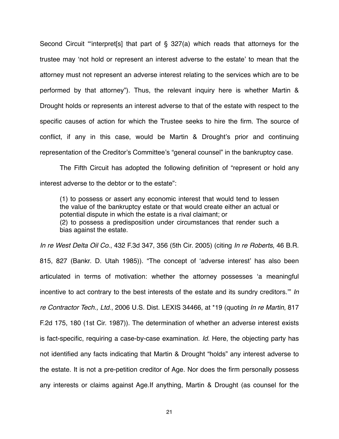Second Circuit "ʻinterpret[s] that part of § 327(a) which reads that attorneys for the trustee may ʻnot hold or represent an interest adverse to the estate' to mean that the attorney must not represent an adverse interest relating to the services which are to be performed by that attorney"). Thus, the relevant inquiry here is whether Martin & Drought holds or represents an interest adverse to that of the estate with respect to the specific causes of action for which the Trustee seeks to hire the firm. The source of conflict, if any in this case, would be Martin & Drought's prior and continuing representation of the Creditor's Committee's "general counsel" in the bankruptcy case.

The Fifth Circuit has adopted the following definition of "represent or hold any interest adverse to the debtor or to the estate":

(1) to possess or assert any economic interest that would tend to lessen the value of the bankruptcy estate or that would create either an actual or potential dispute in which the estate is a rival claimant; or (2) to possess a predisposition under circumstances that render such a bias against the estate.

*In re West Delta Oil Co*., 432 F.3d 347, 356 (5th Cir. 2005) (citing *In re Roberts*, 46 B.R. 815, 827 (Bankr. D. Utah 1985)). "The concept of ʻadverse interest' has also been articulated in terms of motivation: whether the attorney possesses ʻa meaningful incentive to act contrary to the best interests of the estate and its sundry creditors.'" *In re Contractor Tech., Ltd*., 2006 U.S. Dist. LEXIS 34466, at \*19 (quoting *In re Martin*, 817 F.2d 175, 180 (1st Cir. 1987)). The determination of whether an adverse interest exists is fact-specific, requiring a case-by-case examination. *Id*. Here, the objecting party has not identified any facts indicating that Martin & Drought "holds" any interest adverse to the estate. It is not a pre-petition creditor of Age. Nor does the firm personally possess any interests or claims against Age.If anything, Martin & Drought (as counsel for the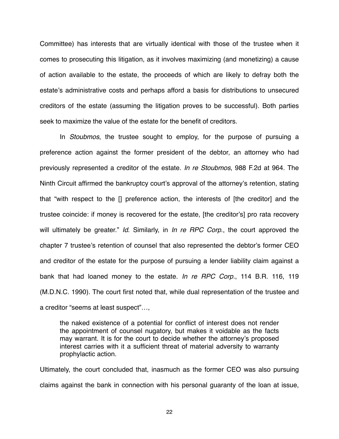Committee) has interests that are virtually identical with those of the trustee when it comes to prosecuting this litigation, as it involves maximizing (and monetizing) a cause of action available to the estate, the proceeds of which are likely to defray both the estate's administrative costs and perhaps afford a basis for distributions to unsecured creditors of the estate (assuming the litigation proves to be successful). Both parties seek to maximize the value of the estate for the benefit of creditors.

In *Stoubmos*, the trustee sought to employ, for the purpose of pursuing a preference action against the former president of the debtor, an attorney who had previously represented a creditor of the estate. *In re Stoubmos*, 988 F.2d at 964. The Ninth Circuit affirmed the bankruptcy court's approval of the attorney's retention, stating that "with respect to the [] preference action, the interests of [the creditor] and the trustee coincide: if money is recovered for the estate, [the creditor's] pro rata recovery will ultimately be greater." *Id*. Similarly, in *In re RPC Corp*., the court approved the chapter 7 trustee's retention of counsel that also represented the debtor's former CEO and creditor of the estate for the purpose of pursuing a lender liability claim against a bank that had loaned money to the estate. *In re RPC Corp.*, 114 B.R. 116, 119 (M.D.N.C. 1990). The court first noted that, while dual representation of the trustee and a creditor "seems at least suspect"…,

the naked existence of a potential for conflict of interest does not render the appointment of counsel nugatory, but makes it voidable as the facts may warrant. It is for the court to decide whether the attorney's proposed interest carries with it a sufficient threat of material adversity to warranty prophylactic action.

Ultimately, the court concluded that, inasmuch as the former CEO was also pursuing claims against the bank in connection with his personal guaranty of the loan at issue,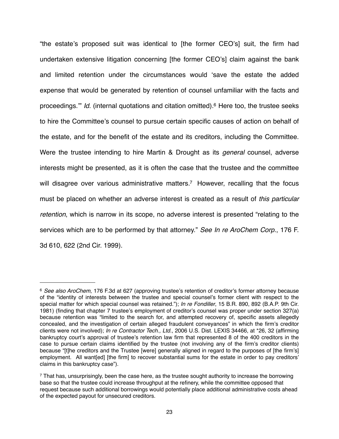"the estate's proposed suit was identical to [the former CEO's] suit, the firm had undertaken extensive litigation concerning [the former CEO's] claim against the bank and limited retention under the circumstances would ʻsave the estate the added expense that would be generated by retention of counsel unfamiliar with the facts and proceedings." *Id.* (internal quotations and citation omitted).<sup>6</sup> Here too, the trustee seeks to hire the Committee's counsel to pursue certain specific causes of action on behalf of the estate, and for the benefit of the estate and its creditors, including the Committee. Were the trustee intending to hire Martin & Drought as its *general* counsel, adverse interests might be presented, as it is often the case that the trustee and the committee will disagree over various administrative matters.<sup>7</sup> However, recalling that the focus must be placed on whether an adverse interest is created as a result of *this particular retention*, which is narrow in its scope, no adverse interest is presented "relating to the services which are to be performed by that attorney." *See In re AroChem Corp*., 176 F. 3d 610, 622 (2nd Cir. 1999).

<span id="page-22-0"></span><sup>6</sup> *See also AroChem*, 176 F.3d at 627 (approving trustee's retention of creditor's former attorney because of the "identity of interests between the trustee and special counsel's former client with respect to the special matter for which special counsel was retained."); *In re Fondiller*, 15 B.R. 890, 892 (B.A.P. 9th Cir. 1981) (finding that chapter 7 trustee's employment of creditor's counsel was proper under section 327(a) because retention was "limited to the search for, and attempted recovery of, specific assets allegedly concealed, and the investigation of certain alleged fraudulent conveyances" in which the firm's creditor clients were not involved); *In re Contractor Tech., Ltd*., 2006 U.S. Dist. LEXIS 34466, at \*26, 32 (affirming bankruptcy court's approval of trustee's retention law firm that represented 8 of the 400 creditors in the case to pursue certain claims identified by the trustee (not involving any of the firm's creditor clients) because "[t]he creditors and the Trustee [were] generally aligned in regard to the purposes of [the firm's] employment. All want[ed] [the firm] to recover substantial sums for the estate in order to pay creditors' claims in this bankruptcy case").

<span id="page-22-1"></span> $7$  That has, unsurprisingly, been the case here, as the trustee sought authority to increase the borrowing base so that the trustee could increase throughput at the refinery, while the committee opposed that request because such additional borrowings would potentially place additional administrative costs ahead of the expected payout for unsecured creditors.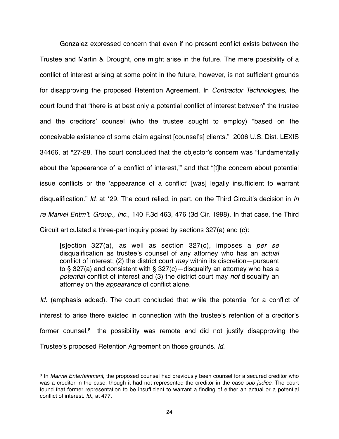Gonzalez expressed concern that even if no present conflict exists between the Trustee and Martin & Drought, one might arise in the future. The mere possibility of a conflict of interest arising at some point in the future, however, is not sufficient grounds for disapproving the proposed Retention Agreement. In *Contractor Technologies*, the court found that "there is at best only a potential conflict of interest between" the trustee and the creditors' counsel (who the trustee sought to employ) "based on the conceivable existence of some claim against [counsel's] clients." 2006 U.S. Dist. LEXIS 34466, at \*27-28. The court concluded that the objector's concern was "fundamentally about the ʻappearance of a conflict of interest,'" and that "[t]he concern about potential issue conflicts or the ʻappearance of a conflict' [was] legally insufficient to warrant disqualification." *Id*. at \*29. The court relied, in part, on the Third Circuit's decision in *In re Marvel Entm*'*t. Group., Inc*., 140 F.3d 463, 476 (3d Cir. 1998). In that case, the Third Circuit articulated a three-part inquiry posed by sections 327(a) and (c):

[s]ection 327(a), as well as section 327(c), imposes a *per se* disqualification as trustee's counsel of any attorney who has an *actual* conflict of interest; (2) the district court *may* within its discretion—pursuant to § 327(a) and consistent with § 327(c)—disqualify an attorney who has a *potential* conflict of interest and (3) the district court may *not* disqualify an attorney on the *appearance* of conflict alone.

*Id.* (emphasis added). The court concluded that while the potential for a conflict of interest to arise there existed in connection with the trustee's retention of a creditor's former counsel, $8$  the possibility was remote and did not justify disapproving the Trustee's proposed Retention Agreement on those grounds. *Id.*

<span id="page-23-0"></span><sup>8</sup> In *Marvel Entertainment*, the proposed counsel had previously been counsel for a secured creditor who was a creditor in the case, though it had not represented the creditor in the case *sub judice*. The court found that former representation to be insufficient to warrant a finding of either an actual or a potential conflict of interest. *Id.*, at 477.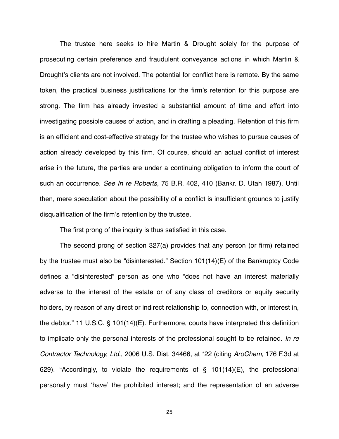The trustee here seeks to hire Martin & Drought solely for the purpose of prosecuting certain preference and fraudulent conveyance actions in which Martin & Drought's clients are not involved. The potential for conflict here is remote. By the same token, the practical business justifications for the firm's retention for this purpose are strong. The firm has already invested a substantial amount of time and effort into investigating possible causes of action, and in drafting a pleading. Retention of this firm is an efficient and cost-effective strategy for the trustee who wishes to pursue causes of action already developed by this firm. Of course, should an actual conflict of interest arise in the future, the parties are under a continuing obligation to inform the court of such an occurrence. *See In re Roberts*, 75 B.R. 402, 410 (Bankr. D. Utah 1987). Until then, mere speculation about the possibility of a conflict is insufficient grounds to justify disqualification of the firm's retention by the trustee.

The first prong of the inquiry is thus satisfied in this case.

The second prong of section 327(a) provides that any person (or firm) retained by the trustee must also be "disinterested." Section 101(14)(E) of the Bankruptcy Code defines a "disinterested" person as one who "does not have an interest materially adverse to the interest of the estate or of any class of creditors or equity security holders, by reason of any direct or indirect relationship to, connection with, or interest in, the debtor." 11 U.S.C. § 101(14)(E). Furthermore, courts have interpreted this definition to implicate only the personal interests of the professional sought to be retained. *In re Contractor Technology, Ltd*., 2006 U.S. Dist. 34466, at \*22 (citing *AroChem*, 176 F.3d at 629). "Accordingly, to violate the requirements of § 101(14)(E), the professional personally must ʻhave' the prohibited interest; and the representation of an adverse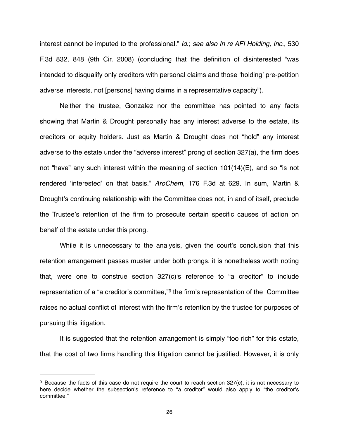interest cannot be imputed to the professional." *Id*.; *see also In re AFI Holding, Inc*., 530 F.3d 832, 848 (9th Cir. 2008) (concluding that the definition of disinterested "was intended to disqualify only creditors with personal claims and those ʻholding' pre-petition adverse interests, not [persons] having claims in a representative capacity").

Neither the trustee, Gonzalez nor the committee has pointed to any facts showing that Martin & Drought personally has any interest adverse to the estate, its creditors or equity holders. Just as Martin & Drought does not "hold" any interest adverse to the estate under the "adverse interest" prong of section 327(a), the firm does not "have" any such interest within the meaning of section 101(14)(E), and so "is not rendered ʻinterested' on that basis." *AroChem*, 176 F.3d at 629. In sum, Martin & Drought's continuing relationship with the Committee does not, in and of itself, preclude the Trustee's retention of the firm to prosecute certain specific causes of action on behalf of the estate under this prong.

While it is unnecessary to the analysis, given the court's conclusion that this retention arrangement passes muster under both prongs, it is nonetheless worth noting that, were one to construe section 327(c)ʻs reference to "a creditor" to include representation of a "a creditor's committee,"[9](#page-25-0) the firm's representation of the Committee raises no actual conflict of interest with the firm's retention by the trustee for purposes of pursuing this litigation.

It is suggested that the retention arrangement is simply "too rich" for this estate, that the cost of two firms handling this litigation cannot be justified. However, it is only

<span id="page-25-0"></span><sup>9</sup> Because the facts of this case do not require the court to reach section 327(c), it is not necessary to here decide whether the subsection's reference to "a creditor" would also apply to "the creditor's committee."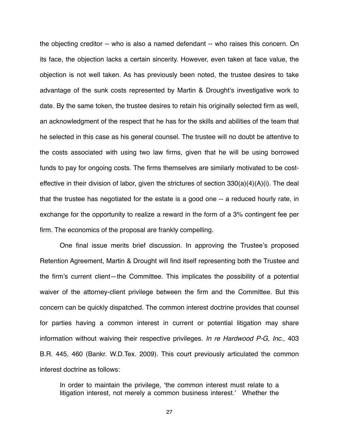the objecting creditor -- who is also a named defendant -- who raises this concern. On its face, the objection lacks a certain sincerity. However, even taken at face value, the objection is not well taken. As has previously been noted, the trustee desires to take advantage of the sunk costs represented by Martin & Drought's investigative work to date. By the same token, the trustee desires to retain his originally selected firm as well, an acknowledgment of the respect that he has for the skills and abilities of the team that he selected in this case as his general counsel. The trustee will no doubt be attentive to the costs associated with using two law firms, given that he will be using borrowed funds to pay for ongoing costs. The firms themselves are similarly motivated to be costeffective in their division of labor, given the strictures of section 330(a)(4)(A)(i). The deal that the trustee has negotiated for the estate is a good one -- a reduced hourly rate, in exchange for the opportunity to realize a reward in the form of a 3% contingent fee per firm. The economics of the proposal are frankly compelling.

One final issue merits brief discussion. In approving the Trustee's proposed Retention Agreement, Martin & Drought will find itself representing both the Trustee and the firm's current client—the Committee. This implicates the possibility of a potential waiver of the attorney-client privilege between the firm and the Committee. But this concern can be quickly dispatched. The common interest doctrine provides that counsel for parties having a common interest in current or potential litigation may share information without waiving their respective privileges. *In re Hardwood P-G, Inc*., 403 B.R. 445, 460 (Bankr. W.D.Tex. 2009). This court previously articulated the common interest doctrine as follows:

In order to maintain the privilege, ʻthe common interest must relate to a litigation interest, not merely a common business interest.' Whether the